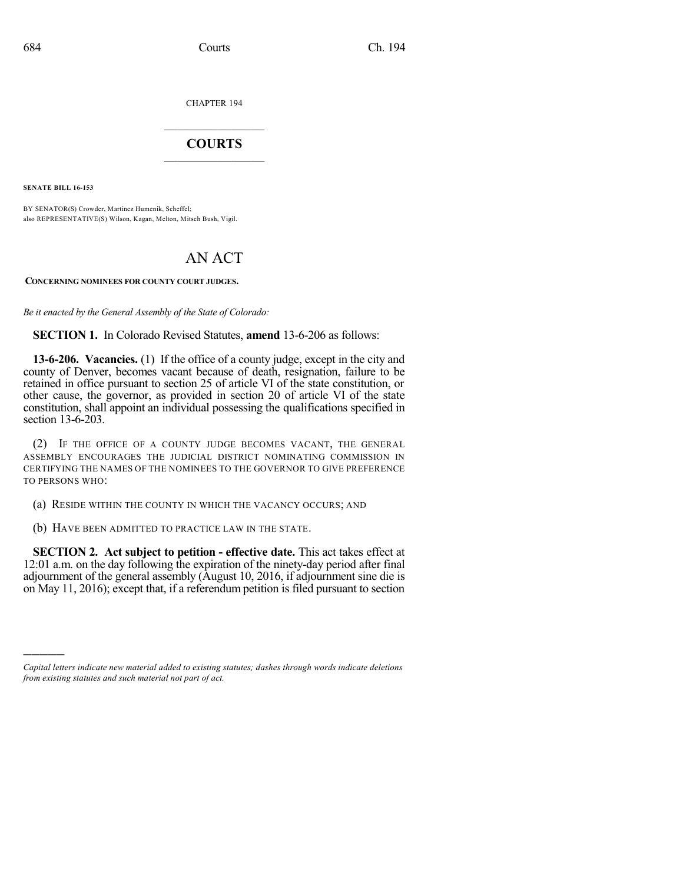CHAPTER 194

## $\mathcal{L}_\text{max}$  . The set of the set of the set of the set of the set of the set of the set of the set of the set of the set of the set of the set of the set of the set of the set of the set of the set of the set of the set **COURTS**  $\_$

**SENATE BILL 16-153**

)))))

BY SENATOR(S) Crowder, Martinez Humenik, Scheffel; also REPRESENTATIVE(S) Wilson, Kagan, Melton, Mitsch Bush, Vigil.

## AN ACT

**CONCERNING NOMINEES FOR COUNTY COURT JUDGES.**

*Be it enacted by the General Assembly of the State of Colorado:*

**SECTION 1.** In Colorado Revised Statutes, **amend** 13-6-206 as follows:

**13-6-206. Vacancies.** (1) If the office of a county judge, except in the city and county of Denver, becomes vacant because of death, resignation, failure to be retained in office pursuant to section 25 of article VI of the state constitution, or other cause, the governor, as provided in section 20 of article VI of the state constitution, shall appoint an individual possessing the qualifications specified in section 13-6-203.

(2) IF THE OFFICE OF A COUNTY JUDGE BECOMES VACANT, THE GENERAL ASSEMBLY ENCOURAGES THE JUDICIAL DISTRICT NOMINATING COMMISSION IN CERTIFYING THE NAMES OF THE NOMINEES TO THE GOVERNOR TO GIVE PREFERENCE TO PERSONS WHO:

(a) RESIDE WITHIN THE COUNTY IN WHICH THE VACANCY OCCURS; AND

(b) HAVE BEEN ADMITTED TO PRACTICE LAW IN THE STATE.

**SECTION 2. Act subject to petition - effective date.** This act takes effect at 12:01 a.m. on the day following the expiration of the ninety-day period after final adjournment of the general assembly (August 10, 2016, if adjournment sine die is on May 11, 2016); except that, if a referendum petition is filed pursuant to section

*Capital letters indicate new material added to existing statutes; dashes through words indicate deletions from existing statutes and such material not part of act.*